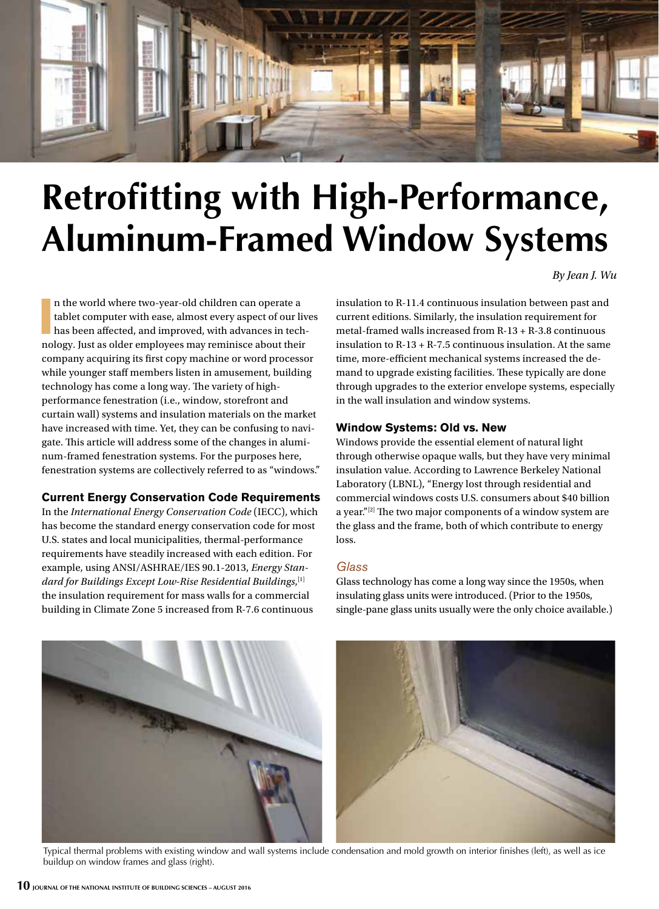

# **Retrofitting with High-Performance, Aluminum-Framed Window Systems**

*By Jean J. Wu*

In the world where two-year-old children can operate a tablet computer with ease, almost every aspect of our live has been affected, and improved, with advances in technology. Just as older employees may reminisce about th n the world where two-year-old children can operate a tablet computer with ease, almost every aspect of our lives has been affected, and improved, with advances in techcompany acquiring its first copy machine or word processor while younger staff members listen in amusement, building technology has come a long way. The variety of highperformance fenestration (i.e., window, storefront and curtain wall) systems and insulation materials on the market have increased with time. Yet, they can be confusing to navigate. This article will address some of the changes in aluminum-framed fenestration systems. For the purposes here, fenestration systems are collectively referred to as "windows."

## **Current Energy Conservation Code Requirements**

In the *International Energy Conservation Code* (IECC), which has become the standard energy conservation code for most U.S. states and local municipalities, thermal-performance requirements have steadily increased with each edition. For example, using ANSI/ASHRAE/IES 90.1-2013, *Energy Standard for Buildings Except Low-Rise Residential Buildings*, [1] the insulation requirement for mass walls for a commercial building in Climate Zone 5 increased from R-7.6 continuous

insulation to R-11.4 continuous insulation between past and current editions. Similarly, the insulation requirement for metal-framed walls increased from R-13 + R-3.8 continuous insulation to R-13 + R-7.5 continuous insulation. At the same time, more-efficient mechanical systems increased the demand to upgrade existing facilities. These typically are done through upgrades to the exterior envelope systems, especially in the wall insulation and window systems.

# **Window Systems: Old vs. New**

Windows provide the essential element of natural light through otherwise opaque walls, but they have very minimal insulation value. According to Lawrence Berkeley National Laboratory (LBNL), "Energy lost through residential and commercial windows costs U.S. consumers about \$40 billion a year."[2] The two major components of a window system are the glass and the frame, both of which contribute to energy loss.

## *Glass*

Glass technology has come a long way since the 1950s, when insulating glass units were introduced. (Prior to the 1950s, single-pane glass units usually were the only choice available.)



Typical thermal problems with existing window and wall systems include condensation and mold growth on interior finishes (left), as well as ice buildup on window frames and glass (right).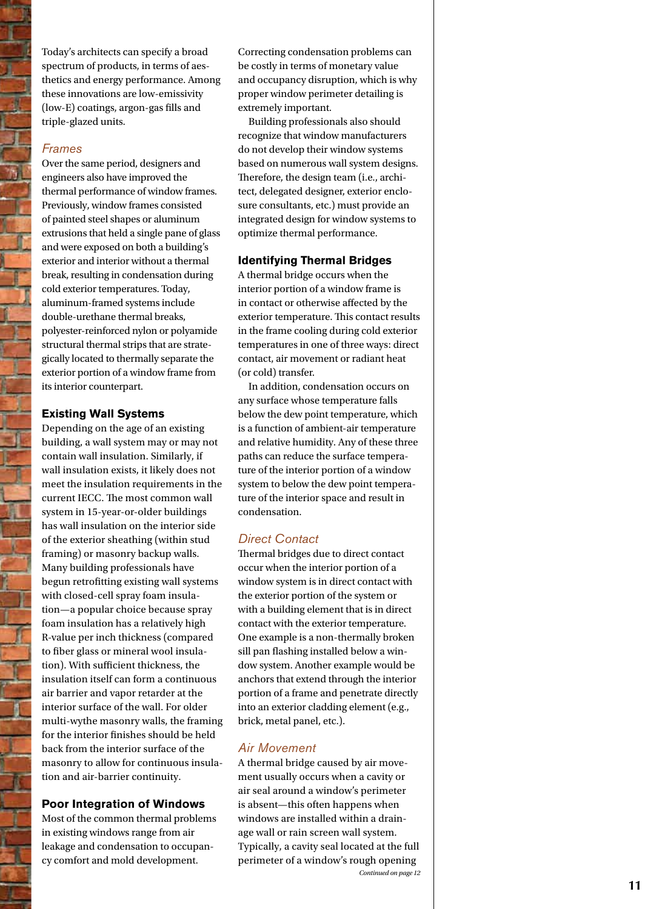Today's architects can specify a broad spectrum of products, in terms of aes thetics and energy performance. Among these innovations are low-emissivity (low-E) coatings, argon-gas fills and triple-glazed units.

## *Frames*

Over the same period, designers and engineers also have improved the thermal performance of window frames. Previously, window frames consisted of painted steel shapes or aluminum extrusions that held a single pane of glass and were exposed on both a building's exterior and interior without a thermal break, resulting in condensation during cold exterior temperatures. Today, aluminum-framed systems include double-urethane thermal breaks, polyester-reinforced nylon or polyamide structural thermal strips that are strate gically located to thermally separate the exterior portion of a window frame from its interior counterpart.

## **Existing Wall Systems**

Depending on the age of an existing building, a wall system may or may not contain wall insulation. Similarly, if wall insulation exists, it likely does not meet the insulation requirements in the current IECC. The most common wall system in 15-year-or-older buildings has wall insulation on the interior side of the exterior sheathing (within stud framing) or masonry backup walls. Many building professionals have begun retrofitting existing wall systems with closed-cell spray foam insula tion—a popular choice because spray foam insulation has a relatively high R-value per inch thickness (compared to fiber glass or mineral wool insula tion). With sufficient thickness, the insulation itself can form a continuous air barrier and vapor retarder at the interior surface of the wall. For older multi-wythe masonry walls, the framing for the interior finishes should be held back from the interior surface of the masonry to allow for continuous insula tion and air-barrier continuity.

## **Poor Integration of Windows**

Most of the common thermal problems in existing windows range from air leakage and condensation to occupan cy comfort and mold development.

Correcting condensation problems can be costly in terms of monetary value and occupancy disruption, which is why proper window perimeter detailing is extremely important.

Building professionals also should recognize that window manufacturers do not develop their window systems based on numerous wall system designs. Therefore, the design team (i.e., archi tect, delegated designer, exterior enclo sure consultants, etc.) must provide an integrated design for window systems to optimize thermal performance.

#### **Identifying Thermal Bridges**

A thermal bridge occurs when the interior portion of a window frame is in contact or otherwise affected by the exterior temperature. This contact results in the frame cooling during cold exterior temperatures in one of three ways: direct contact, air movement or radiant heat (or cold) transfer.

In addition, condensation occurs on any surface whose temperature falls below the dew point temperature, which is a function of ambient-air temperature and relative humidity. Any of these three paths can reduce the surface tempera ture of the interior portion of a window system to below the dew point tempera ture of the interior space and result in condensation.

## *Direct Contact*

Thermal bridges due to direct contact occur when the interior portion of a window system is in direct contact with the exterior portion of the system or with a building element that is in direct contact with the exterior temperature. One example is a non-thermally broken sill pan flashing installed below a win dow system. Another example would be anchors that extend through the interior portion of a frame and penetrate directly into an exterior cladding element (e.g., brick, metal panel, etc.).

## *Air Movement*

A thermal bridge caused by air move ment usually occurs when a cavity or air seal around a window's perimeter is absent—this often happens when windows are installed within a drain age wall or rain screen wall system. Typically, a cavity seal located at the full perimeter of a window's rough opening *Continued on page 12*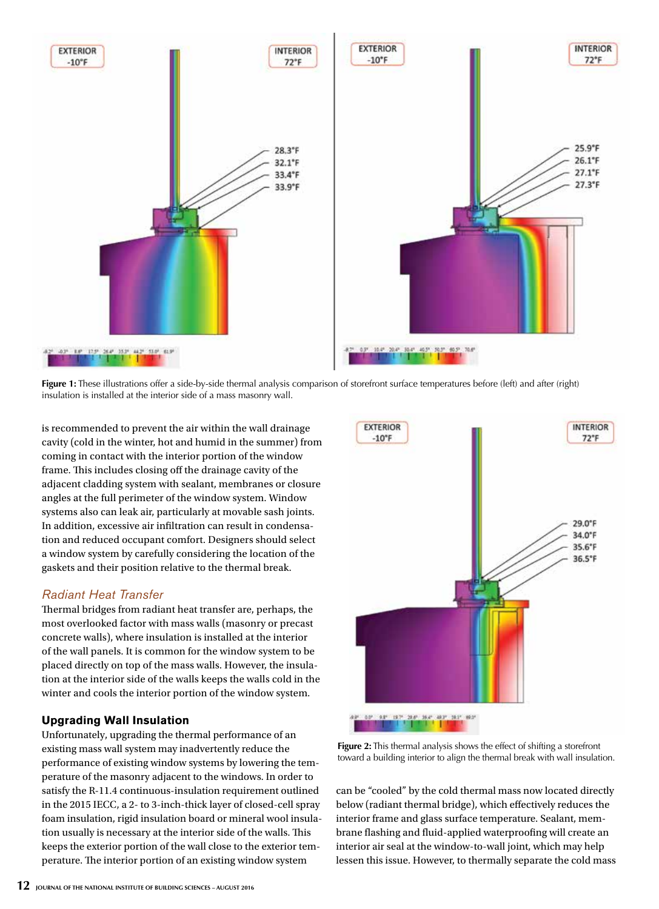

**Figure 1:** These illustrations offer a side-by-side thermal analysis comparison of storefront surface temperatures before (left) and after (right) insulation is installed at the interior side of a mass masonry wall.

is recommended to prevent the air within the wall drainage cavity (cold in the winter, hot and humid in the summer) from coming in contact with the interior portion of the window frame. This includes closing off the drainage cavity of the adjacent cladding system with sealant, membranes or closure angles at the full perimeter of the window system. Window systems also can leak air, particularly at movable sash joints. In addition, excessive air infiltration can result in condensation and reduced occupant comfort. Designers should select a window system by carefully considering the location of the gaskets and their position relative to the thermal break.

# *Radiant Heat Transfer*

Thermal bridges from radiant heat transfer are, perhaps, the most overlooked factor with mass walls (masonry or precast concrete walls), where insulation is installed at the interior of the wall panels. It is common for the window system to be placed directly on top of the mass walls. However, the insulation at the interior side of the walls keeps the walls cold in the winter and cools the interior portion of the window system.

# **Upgrading Wall Insulation**

Unfortunately, upgrading the thermal performance of an existing mass wall system may inadvertently reduce the performance of existing window systems by lowering the temperature of the masonry adjacent to the windows. In order to satisfy the R-11.4 continuous-insulation requirement outlined in the 2015 IECC, a 2- to 3-inch-thick layer of closed-cell spray foam insulation, rigid insulation board or mineral wool insulation usually is necessary at the interior side of the walls. This keeps the exterior portion of the wall close to the exterior temperature. The interior portion of an existing window system



**Figure 2:** This thermal analysis shows the effect of shifting a storefront toward a building interior to align the thermal break with wall insulation.

can be "cooled" by the cold thermal mass now located directly below (radiant thermal bridge), which effectively reduces the interior frame and glass surface temperature. Sealant, membrane flashing and fluid-applied waterproofing will create an interior air seal at the window-to-wall joint, which may help lessen this issue. However, to thermally separate the cold mass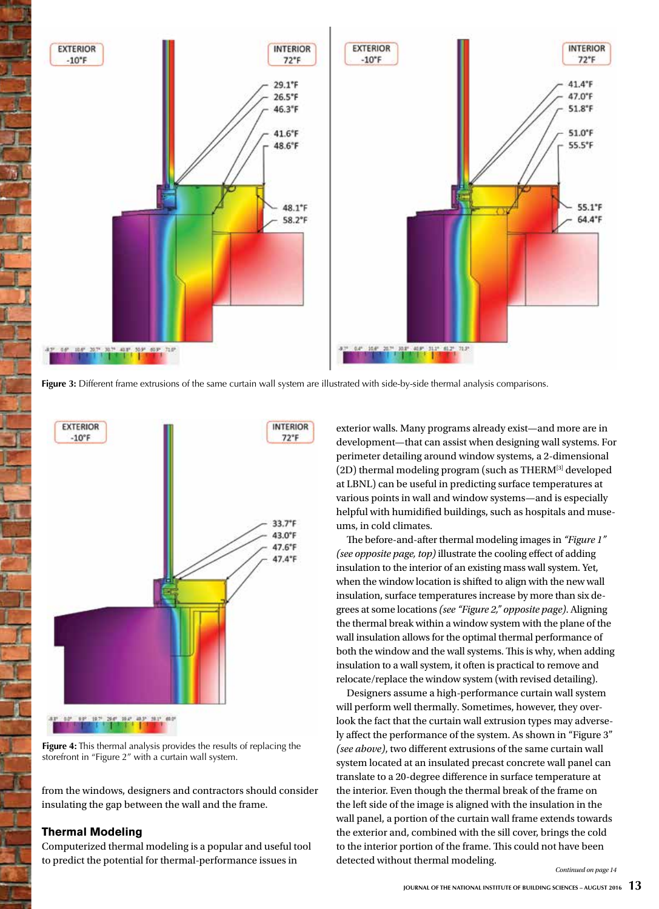

**Figure 3:** Different frame extrusions of the same curtain wall system are illustrated with side-by-side thermal analysis comparisons.



**Figure 4:** This thermal analysis provides the results of replacing the storefront in "Figure 2" with a curtain wall system.

from the windows, designers and contractors should consider insulating the gap between the wall and the frame.

#### **Thermal Modeling**

Computerized thermal modeling is a popular and useful tool to predict the potential for thermal-performance issues in

exterior walls. Many programs already exist—and more are in development—that can assist when designing wall systems. For perimeter detailing around window systems, a 2-dimensional (2D) thermal modeling program (such as THERM[3] developed at LBNL) can be useful in predicting surface temperatures at various points in wall and window systems—and is especially helpful with humidified buildings, such as hospitals and museums, in cold climates.

The before-and-after thermal modeling images in *"Figure 1" (see opposite page, top)* illustrate the cooling effect of adding insulation to the interior of an existing mass wall system. Yet, when the window location is shifted to align with the new wall insulation, surface temperatures increase by more than six degrees at some locations *(see "Figure 2," opposite page)*. Aligning the thermal break within a window system with the plane of the wall insulation allows for the optimal thermal performance of both the window and the wall systems. This is why, when adding insulation to a wall system, it often is practical to remove and relocate/replace the window system (with revised detailing).

Designers assume a high-performance curtain wall system will perform well thermally. Sometimes, however, they overlook the fact that the curtain wall extrusion types may adversely affect the performance of the system. As shown in "Figure 3" *(see above)*, two different extrusions of the same curtain wall system located at an insulated precast concrete wall panel can translate to a 20-degree difference in surface temperature at the interior. Even though the thermal break of the frame on the left side of the image is aligned with the insulation in the wall panel, a portion of the curtain wall frame extends towards the exterior and, combined with the sill cover, brings the cold to the interior portion of the frame. This could not have been detected without thermal modeling.

*Continued on page 14*